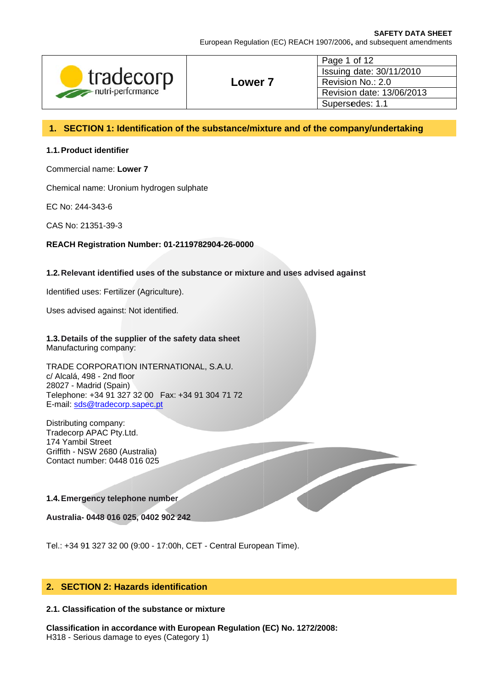European Regulation (EC) REACH 1907/2006, and subsequent amendments

| tradecorp         |       | Page 1 of 12              |  |
|-------------------|-------|---------------------------|--|
|                   |       | Issuing date: 30/11/2010  |  |
|                   | Lower | Revision No.: 2.0         |  |
| nutri-performance |       | Revision date: 13/06/2013 |  |
|                   |       | Supersedes: 1.1           |  |

## 1. SECTION 1: Identification of the substance/mixture and of the company/undertaking

# 1.1. Product identifier

Commercial name: Lower 7

Chemical name: Uronium hydrogen sulphate

EC No: 244-343-6

CAS No: 21351-39-3

### REACH Registration Number: 01-2119782904-26-0000

### 1.2. Relevant identified uses of the substance or mixture and uses advised against

Identified uses: Fertilizer (Agriculture).

Uses advised against: Not identified.

1.3. Details of the supplier of the safety data sheet Manufacturing company:

TRADE CORPORATION INTERNATIONAL, S.A.U. c/ Alcalá, 498 - 2nd floor 28027 - Madrid (Spain) Telephone: +34 91 327 32 00 Fax: +34 91 304 71 72 E-mail: sds@tradecorp.sapec.pt

Distributing company: Tradecorp APAC Pty.Ltd. 174 Yambil Street Griffith - NSW 2680 (Australia) Contact number: 0448 016 025

#### 1.4. Emergency telephone number

Australia- 0448 016 025, 0402 902 242

Tel.: +34 91 327 32 00 (9:00 - 17:00h, CET - Central European Time).

## 2. SECTION 2: Hazards identification

#### 2.1. Classification of the substance or mixture

Classification in accordance with European Regulation (EC) No. 1272/2008: H318 - Serious damage to eyes (Category 1)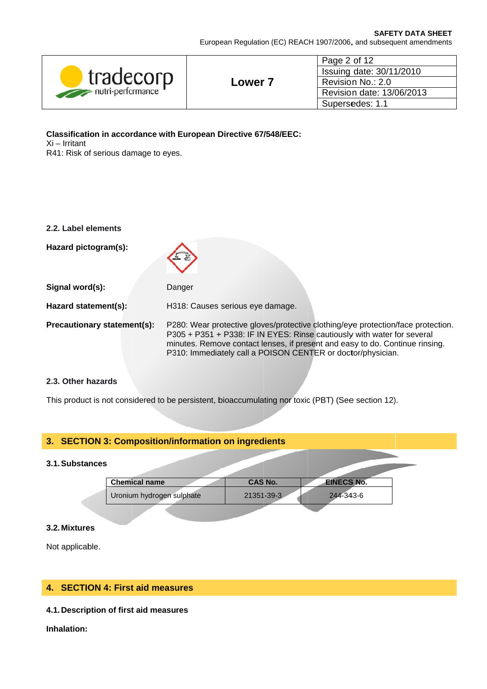European Regulation (EC) REACH 1907/2006, and subsequent amendments

| tradecorp<br>nutri-performance |       | Page 2 of 12<br>Issuing date: 30/11/2010                          |  |
|--------------------------------|-------|-------------------------------------------------------------------|--|
|                                |       | Revision No.: 2.0<br>Revision date: 13/06/2013<br>Supersedes: 1.1 |  |
|                                | Lower |                                                                   |  |
|                                |       |                                                                   |  |
|                                |       |                                                                   |  |

Classification in accordance with European Directive 67/548/EEC: Xi - Irritant R41: Risk of serious damage to eyes.

| 2.2. Label elements         |                                                                                                                                                                                                                                                                                                            |
|-----------------------------|------------------------------------------------------------------------------------------------------------------------------------------------------------------------------------------------------------------------------------------------------------------------------------------------------------|
| Hazard pictogram(s):        |                                                                                                                                                                                                                                                                                                            |
| Signal word(s):             | Danger                                                                                                                                                                                                                                                                                                     |
| Hazard statement(s):        | H318: Causes serious eye damage.                                                                                                                                                                                                                                                                           |
| Precautionary statement(s): | P280: Wear protective gloves/protective clothing/eye protection/face protection.<br>P305 + P351 + P338: IF IN EYES: Rinse cautiously with water for several<br>minutes. Remove contact lenses, if present and easy to do. Continue rinsing.<br>P310: Immediately call a POISON CENTER or doctor/physician. |

### 2.3. Other hazards

This product is not considered to be persistent, bioaccumulating nor toxic (PBT) (See section 12).

## 3. SECTION 3: Composition/information on ingredients

## 3.1. Substances

| <b>Chemical name</b>      | <b>CAS No.</b> | <b>EINECS No.</b> |
|---------------------------|----------------|-------------------|
| Uronium hydrogen sulphate | 21351-39-3     | 244-343-6         |

#### 3.2. Mixtures

Not applicable.

# 4. SECTION 4: First aid measures

### 4.1. Description of first aid measures

Inhalation: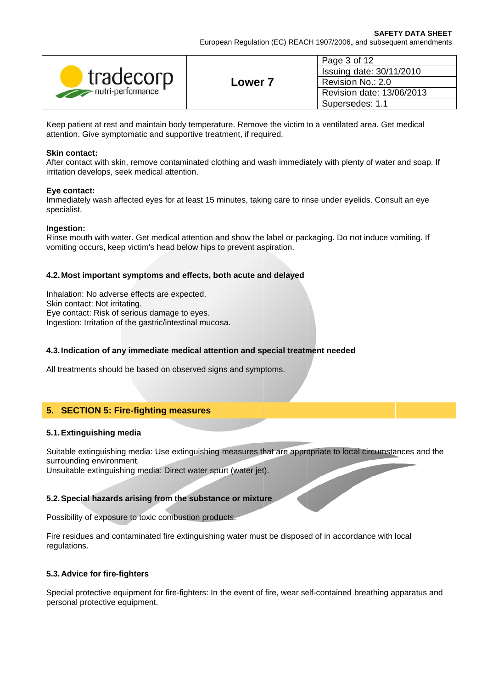| tradecorp<br>nutri-performance |                    | Page 3 of 12<br>Issuing date: 30/11/2010 |  |
|--------------------------------|--------------------|------------------------------------------|--|
|                                | Lower <sup>-</sup> | Revision No.: 2.0                        |  |
|                                |                    | Revision date: 13/06/2013                |  |
|                                |                    | Supersedes: 1.1                          |  |

Keep patient at rest and maintain body temperature. Remove the victim to a ventilated area. Get medical attention. Give symptomatic and supportive treatment, if required.

### **Skin contact:**

After contact with skin, remove contaminated clothing and wash immediately with plenty of water and soap. If irritation develops, seek medical attention.

#### Eye contact:

Immediately wash affected eyes for at least 15 minutes, taking care to rinse under eyelids. Consult an eye specialist.

### Ingestion:

Rinse mouth with water. Get medical attention and show the label or packaging. Do not induce vomiting. If vomiting occurs, keep victim's head below hips to prevent aspiration.

## 4.2. Most important symptoms and effects, both acute and delayed

Inhalation: No adverse effects are expected. Skin contact: Not irritating. Eye contact: Risk of serious damage to eyes. Ingestion: Irritation of the gastric/intestinal mucosa.

## 4.3. Indication of any immediate medical attention and special treatment needed

All treatments should be based on observed signs and symptoms.

# 5. SECTION 5: Fire-fighting measures

## 5.1. Extinguishing media

Suitable extinguishing media: Use extinguishing measures that are appropriate to local circumstances and the surrounding environment.

Unsuitable extinguishing media: Direct water spurt (water jet).

## 5.2. Special hazards arising from the substance or mixture

Possibility of exposure to toxic combustion products.

Fire residues and contaminated fire extinguishing water must be disposed of in accordance with local regulations.

## 5.3. Advice for fire-fighters

Special protective equipment for fire-fighters: In the event of fire, wear self-contained breathing apparatus and personal protective equipment.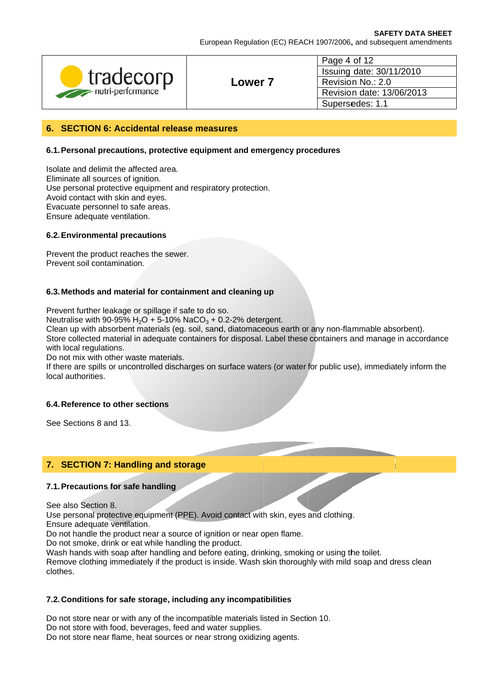European Regulation (EC) REACH 1907/2006, and subsequent amendments

| tradecorp         |                | Page 4 of 12                                  |  |
|-------------------|----------------|-----------------------------------------------|--|
|                   |                | Issuing date: 30/11/2010<br>Revision No.: 2.0 |  |
|                   | <b>Lower 7</b> |                                               |  |
| nutri-performance |                | Revision date: 13/06/2013                     |  |
|                   |                | Supersedes: 1.1                               |  |

### 6. SECTION 6: Accidental release measures

#### 6.1. Personal precautions, protective equipment and emergency procedures

Isolate and delimit the affected area. Eliminate all sources of ignition. Use personal protective equipment and respiratory protection. Avoid contact with skin and eyes. Evacuate personnel to safe areas. Ensure adequate ventilation.

#### 6.2. Environmental precautions

Prevent the product reaches the sewer. Prevent soil contamination.

#### 6.3. Methods and material for containment and cleaning up

Prevent further leakage or spillage if safe to do so.

Neutralise with 90-95%  $H_2O$  + 5-10% NaCO<sub>3</sub> + 0.2-2% detergent.

Clean up with absorbent materials (eg. soil, sand, diatomaceous earth or any non-flammable absorbent). Store collected material in adequate containers for disposal. Label these containers and manage in accordance with local regulations.

Do not mix with other waste materials.

If there are spills or uncontrolled discharges on surface waters (or water for public use), immediately inform the local authorities.

## 6.4. Reference to other sections

See Sections 8 and 13.

# 7. SECTION 7: Handling and storage

### 7.1. Precautions for safe handling

See also Section 8.

Use personal protective equipment (PPE). Avoid contact with skin, eyes and clothing. Ensure adequate ventilation.

Do not handle the product near a source of ignition or near open flame.

Do not smoke, drink or eat while handling the product.

Wash hands with soap after handling and before eating, drinking, smoking or using the toilet.

Remove clothing immediately if the product is inside. Wash skin thoroughly with mild soap and dress clean clothes.

#### 7.2. Conditions for safe storage, including any incompatibilities

Do not store near or with any of the incompatible materials listed in Section 10. Do not store with food, beverages, feed and water supplies. Do not store near flame, heat sources or near strong oxidizing agents.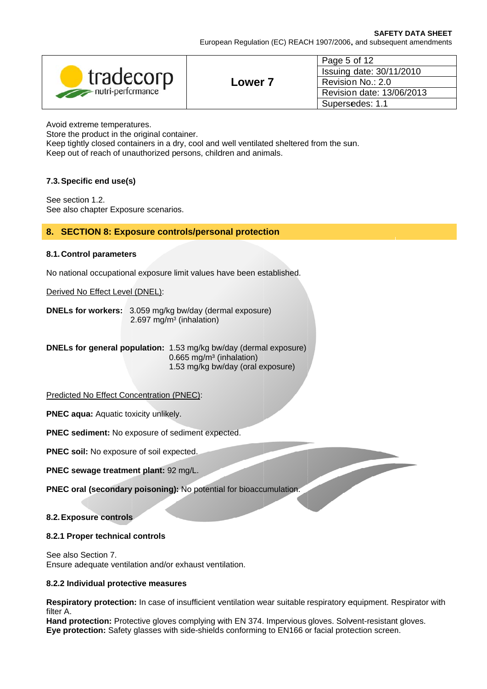| tradecorp<br>nutri-performance |       | Page 5 of 12                                                                                  |
|--------------------------------|-------|-----------------------------------------------------------------------------------------------|
|                                |       | Issuing date: 30/11/2010<br>Revision No.: 2.0<br>Revision date: 13/06/2013<br>Supersedes: 1.1 |
|                                | Lower |                                                                                               |
|                                |       |                                                                                               |
|                                |       |                                                                                               |

Avoid extreme temperatures.

Store the product in the original container.

Keep tightly closed containers in a dry, cool and well ventilated sheltered from the sun. Keep out of reach of unauthorized persons, children and animals.

## 7.3. Specific end use(s)

See section 1.2. See also chapter Exposure scenarios.

## 8. SECTION 8: Exposure controls/personal protection

## 8.1. Control parameters

No national occupational exposure limit values have been established.

## Derived No Effect Level (DNEL):

**DNELs for workers:** 3.059 mg/kg bw/day (dermal exposure) 2.697 mg/m<sup>3</sup> (inhalation)

DNELs for general population: 1.53 mg/kg bw/day (dermal exposure)  $0.665$  mg/m<sup>3</sup> (inhalation) 1.53 mg/kg bw/day (oral exposure)

## Predicted No Effect Concentration (PNEC):

**PNEC aqua: Aquatic toxicity unlikely.** 

PNEC sediment: No exposure of sediment expected.

PNEC soil: No exposure of soil expected.

PNEC sewage treatment plant: 92 mg/L.

PNEC oral (secondary poisoning): No potential for bioaccumulation.

## 8.2. Exposure controls

## 8.2.1 Proper technical controls

See also Section 7. Ensure adequate ventilation and/or exhaust ventilation.

## 8.2.2 Individual protective measures

Respiratory protection: In case of insufficient ventilation wear suitable respiratory equipment. Respirator with filter A.

Hand protection: Protective gloves complying with EN 374. Impervious gloves. Solvent-resistant gloves. Eye protection: Safety glasses with side-shields conforming to EN166 or facial protection screen.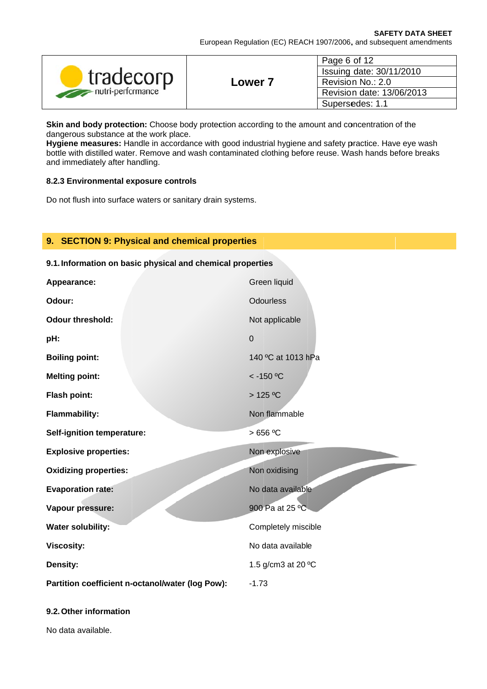| tradecorp<br>nutri-performance | Lower | Page 6 of 12<br>Issuing date: 30/11/2010<br>Revision No.: 2.0<br>Revision date: 13/06/2013 |
|--------------------------------|-------|--------------------------------------------------------------------------------------------|
|                                |       | Supersedes: 1.1                                                                            |

Skin and body protection: Choose body protection according to the amount and concentration of the dangerous substance at the work place.

Hygiene measures: Handle in accordance with good industrial hygiene and safety practice. Have eye wash bottle with distilled water. Remove and wash contaminated clothing before reuse. Wash hands before breaks and immediately after handling.

#### 8.2.3 Environmental exposure controls

Do not flush into surface waters or sanitary drain systems.

## 9. SECTION 9: Physical and chemical properties

# 9.1. Information on basic physical and chemical properties

| Appearance:                                      | Green liquid        |
|--------------------------------------------------|---------------------|
| Odour:                                           | <b>Odourless</b>    |
| <b>Odour threshold:</b>                          | Not applicable      |
| pH:                                              | $\mathbf 0$         |
| <b>Boiling point:</b>                            | 140 °C at 1013 hPa  |
| <b>Melting point:</b>                            | $<$ -150 °C         |
| <b>Flash point:</b>                              | $>125$ °C           |
| <b>Flammability:</b>                             | Non flammable       |
| <b>Self-ignition temperature:</b>                | $>656$ °C           |
| <b>Explosive properties:</b>                     | Non explosive       |
| <b>Oxidizing properties:</b>                     | Non oxidising       |
| <b>Evaporation rate:</b>                         | No data available   |
| Vapour pressure:                                 | 900 Pa at 25 °C     |
| <b>Water solubility:</b>                         | Completely miscible |
| <b>Viscosity:</b>                                | No data available   |
| Density:                                         | 1.5 g/cm3 at 20 °C  |
| Partition coefficient n-octanol/water (log Pow): | $-1.73$             |

## 9.2. Other information

No data available.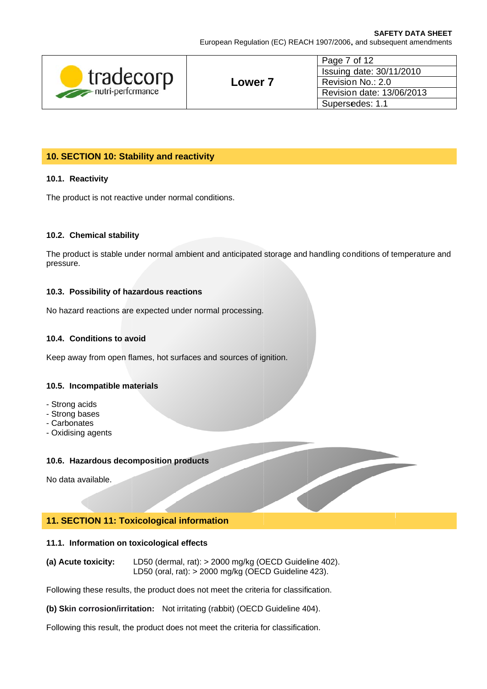European Regulation (EC) REACH 1907/2006, and subsequent amendments

| tradecorp<br>nutri-performance |       | Page 7 of 12<br>Issuing date: 30/11/2010       |
|--------------------------------|-------|------------------------------------------------|
|                                |       |                                                |
|                                | Lower | Revision No.: 2.0<br>Revision date: 13/06/2013 |
|                                |       |                                                |
|                                |       | Supersedes: 1.1                                |

# 10. SECTION 10: Stability and reactivity

### 10.1. Reactivity

The product is not reactive under normal conditions.

#### 10.2. Chemical stability

The product is stable under normal ambient and anticipated storage and handling conditions of temperature and pressure.

#### 10.3. Possibility of hazardous reactions

No hazard reactions are expected under normal processing.

### 10.4. Conditions to avoid

Keep away from open flames, hot surfaces and sources of ignition.

#### 10.5. Incompatible materials

- Strong acids
- Strong bases
- Carbonates
- Oxidising agents

#### 10.6. Hazardous decomposition products

No data available.

## 11. SECTION 11: Toxicological information

#### 11.1. Information on toxicological effects

LD50 (dermal, rat): > 2000 mg/kg (OECD Guideline 402). (a) Acute toxicity: LD50 (oral, rat): > 2000 mg/kg (OECD Guideline 423).

Following these results, the product does not meet the criteria for classification.

(b) Skin corrosion/irritation: Not irritating (rabbit) (OECD Guideline 404).

Following this result, the product does not meet the criteria for classification.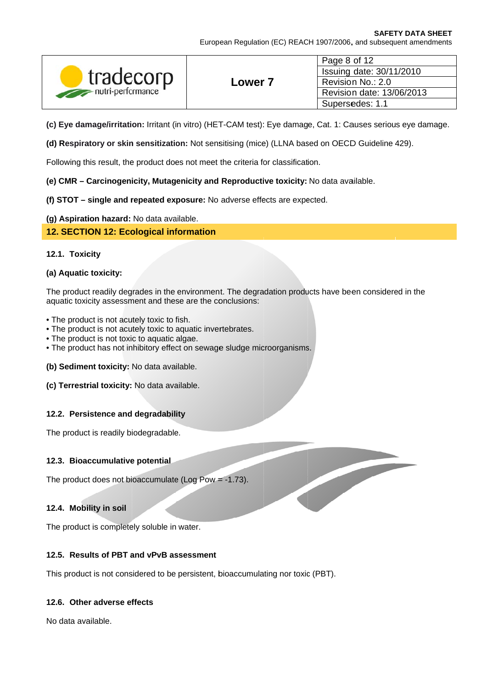| tradecorp<br>nutri-performance |       | Page 8 of 12                                                               |
|--------------------------------|-------|----------------------------------------------------------------------------|
|                                |       | Issuing date: 30/11/2010<br>Revision No.: 2.0<br>Revision date: 13/06/2013 |
|                                | Lower |                                                                            |
|                                |       |                                                                            |
|                                |       | Supersedes: 1.1                                                            |

(c) Eye damage/irritation: Irritant (in vitro) (HET-CAM test): Eye damage, Cat. 1: Causes serious eye damage.

(d) Respiratory or skin sensitization: Not sensitising (mice) (LLNA based on OECD Guideline 429).

Following this result, the product does not meet the criteria for classification.

## (e) CMR - Carcinogenicity, Mutagenicity and Reproductive toxicity: No data available.

## (f) STOT - single and repeated exposure: No adverse effects are expected.

# (g) Aspiration hazard: No data available.

# 12. SECTION 12: Ecological information

## 12.1. Toxicity

## (a) Aquatic toxicity:

The product readily degrades in the environment. The degradation products have been considered in the aquatic toxicity assessment and these are the conclusions:

- The product is not acutely toxic to fish.
- The product is not acutely toxic to aquatic invertebrates.
- The product is not toxic to aquatic algae.
- . The product has not inhibitory effect on sewage sludge microorganisms.

(b) Sediment toxicity: No data available.

## (c) Terrestrial toxicity: No data available.

## 12.2. Persistence and degradability

The product is readily biodegradable.

## 12.3. Bioaccumulative potential

The product does not bioaccumulate (Log Pow =  $-1.73$ ).

## 12.4. Mobility in soil

The product is completely soluble in water.

# 12.5. Results of PBT and vPvB assessment

This product is not considered to be persistent, bioaccumulating nor toxic (PBT).

## 12.6. Other adverse effects

No data available.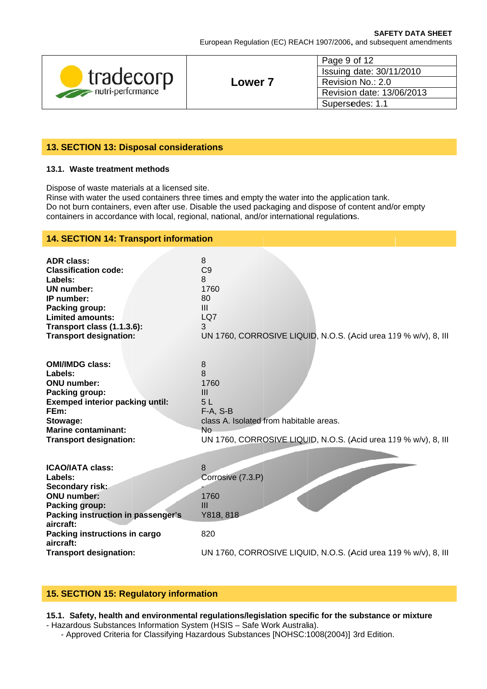European Regulation (EC) REACH 1907/2006, and subsequent amendments

| tradecorp<br>nutri-performance |                    | Page 9 of 12                                   |
|--------------------------------|--------------------|------------------------------------------------|
|                                |                    | Issuing date: 30/11/2010                       |
|                                | Lower <sub>7</sub> | Revision No.: 2.0<br>Revision date: 13/06/2013 |
|                                |                    |                                                |
|                                |                    | Supersedes: 1.1                                |

# 13. SECTION 13: Disposal considerations

#### 13.1. Waste treatment methods

Dispose of waste materials at a licensed site.

Rinse with water the used containers three times and empty the water into the application tank. Do not burn containers, even after use. Disable the used packaging and dispose of content and/or empty containers in accordance with local, regional, national, and/or international regulations.

| <b>14. SECTION 14: Transport information</b>                                                                                                                                                                                    |                                                                                                                                                                      |  |
|---------------------------------------------------------------------------------------------------------------------------------------------------------------------------------------------------------------------------------|----------------------------------------------------------------------------------------------------------------------------------------------------------------------|--|
| <b>ADR class:</b><br><b>Classification code:</b><br>Labels:<br>UN number:<br>IP number:<br>Packing group:<br><b>Limited amounts:</b><br>Transport class (1.1.3.6):<br><b>Transport designation:</b>                             | 8<br>C <sub>9</sub><br>8<br>1760<br>80<br>Ш<br>LQ7<br>3<br>UN 1760, CORROSIVE LIQUID, N.O.S. (Acid urea 119 % w/v), 8, III                                           |  |
| <b>OMI/IMDG class:</b><br>Labels:<br><b>ONU</b> number:<br>Packing group:<br><b>Exemped interior packing until:</b><br>FEm:<br>Stowage:<br><b>Marine contaminant:</b><br><b>Transport designation:</b>                          | 8<br>8<br>1760<br>III<br>5L<br>$F-A, S-B$<br>class A. Isolated from habitable areas.<br><b>No</b><br>UN 1760, CORROSIVE LIQUID, N.O.S. (Acid urea 119 % w/v), 8, III |  |
| <b>ICAO/IATA class:</b><br>Labels:<br>Secondary risk:<br><b>ONU</b> number:<br>Packing group:<br>Packing instruction in passenger's<br>aircraft:<br>Packing instructions in cargo<br>aircraft:<br><b>Transport designation:</b> | 8<br>Corrosive (7.3.P)<br>1760<br>Ш<br>Y818, 818<br>820<br>UN 1760, CORROSIVE LIQUID, N.O.S. (Acid urea 119 % w/v), 8, III                                           |  |

# 15. SECTION 15: Regulatory information

# 15.1. Safety, health and environmental regulations/legislation specific for the substance or mixture

- Hazardous Substances Information System (HSIS - Safe Work Australia).

- Approved Criteria for Classifying Hazardous Substances [NOHSC:1008(2004)] 3rd Edition.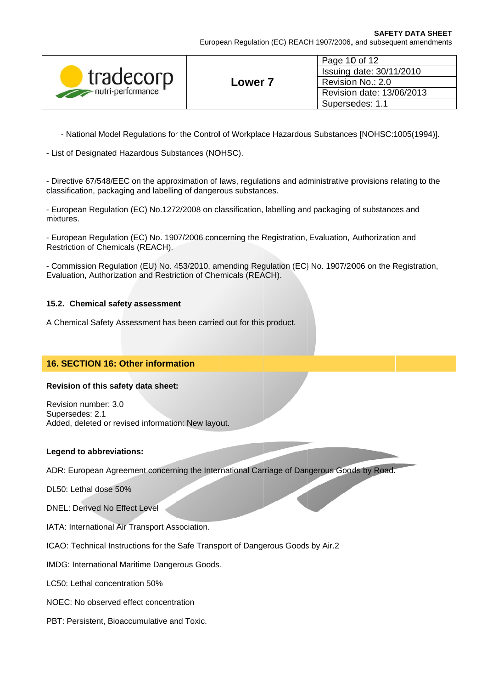| tradecorp<br>nutri-performance | Lower 7 | Page 10 of 12             |
|--------------------------------|---------|---------------------------|
|                                |         | Issuing date: 30/11/2010  |
|                                |         | Revision No.: 2.0         |
|                                |         | Revision date: 13/06/2013 |
|                                |         | Supersedes: 1.1           |

- National Model Regulations for the Control of Workplace Hazardous Substances [NOHSC:1005(1994)].

- List of Designated Hazardous Substances (NOHSC).

- Directive 67/548/EEC on the approximation of laws, regulations and administrative provisions relating to the classification, packaging and labelling of dangerous substances.

- European Regulation (EC) No.1272/2008 on classification, labelling and packaging of substances and mixtures.

- European Regulation (EC) No. 1907/2006 concerning the Registration, Evaluation, Authorization and Restriction of Chemicals (REACH).

- Commission Regulation (EU) No. 453/2010, amending Regulation (EC) No. 1907/2006 on the Registration, Evaluation, Authorization and Restriction of Chemicals (REACH).

## 15.2. Chemical safety assessment

A Chemical Safety Assessment has been carried out for this product.

## 16. SECTION 16: Other information

#### Revision of this safety data sheet:

Revision number: 3.0 Supersedes: 2.1 Added, deleted or revised information: New layout.

#### **Legend to abbreviations:**

ADR: European Agreement concerning the International Carriage of Dangerous Goods by Road.

DL50: Lethal dose 50%

DNEL: Derived No Effect Level

IATA: International Air Transport Association.

ICAO: Technical Instructions for the Safe Transport of Dangerous Goods by Air.2

IMDG: International Maritime Dangerous Goods.

LC50: Lethal concentration 50%

NOEC: No observed effect concentration

PBT: Persistent, Bioaccumulative and Toxic.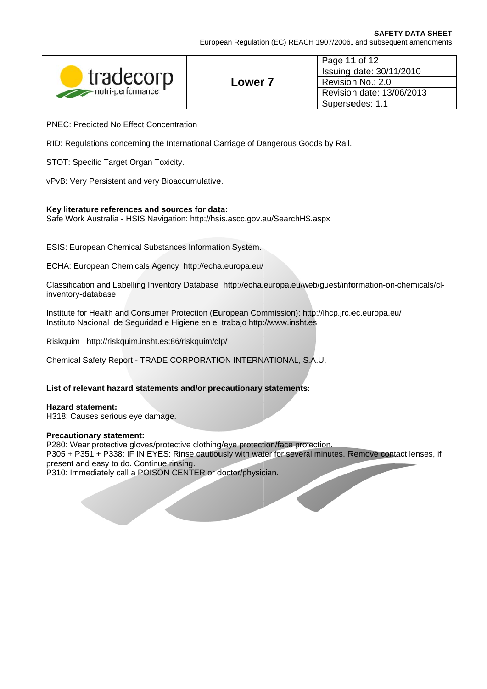| tradecorp<br>nutri-performance | Lower <sub>7</sub> | Page 11 of 12             |
|--------------------------------|--------------------|---------------------------|
|                                |                    | Issuing date: 30/11/2010  |
|                                |                    | Revision No.: 2.0         |
|                                |                    | Revision date: 13/06/2013 |
|                                |                    | Supersedes: 1.1           |

**PNEC: Predicted No Effect Concentration** 

RID: Regulations concerning the International Carriage of Dangerous Goods by Rail.

STOT: Specific Target Organ Toxicity.

vPvB: Very Persistent and very Bioaccumulative.

## Key literature references and sources for data:

Safe Work Australia - HSIS Navigation: http://hsis.ascc.gov.au/SearchHS.aspx

**ESIS: European Chemical Substances Information System.** 

ECHA: European Chemicals Agency http://echa.europa.eu/

Classification and Labelling Inventory Database http://echa.europa.eu/web/quest/information-on-chemicals/clinventory-database

Institute for Health and Consumer Protection (European Commission): http://ihcp.jrc.ec.europa.eu/ Instituto Nacional de Seguridad e Higiene en el trabajo http://www.insht.es

Riskquim http://riskquim.insht.es:86/riskquim/clp/

Chemical Safety Report - TRADE CORPORATION INTERNATIONAL, S.A.U.

List of relevant hazard statements and/or precautionary statements:

**Hazard statement:** H318: Causes serious eye damage.

#### **Precautionary statement:**

P280: Wear protective gloves/protective clothing/eye protection/face protection. P305 + P351 + P338: IF IN EYES: Rinse cautiously with water for several minutes. Remove contact lenses, if present and easy to do. Continue rinsing.

P310: Immediately call a POISON CENTER or doctor/physician.